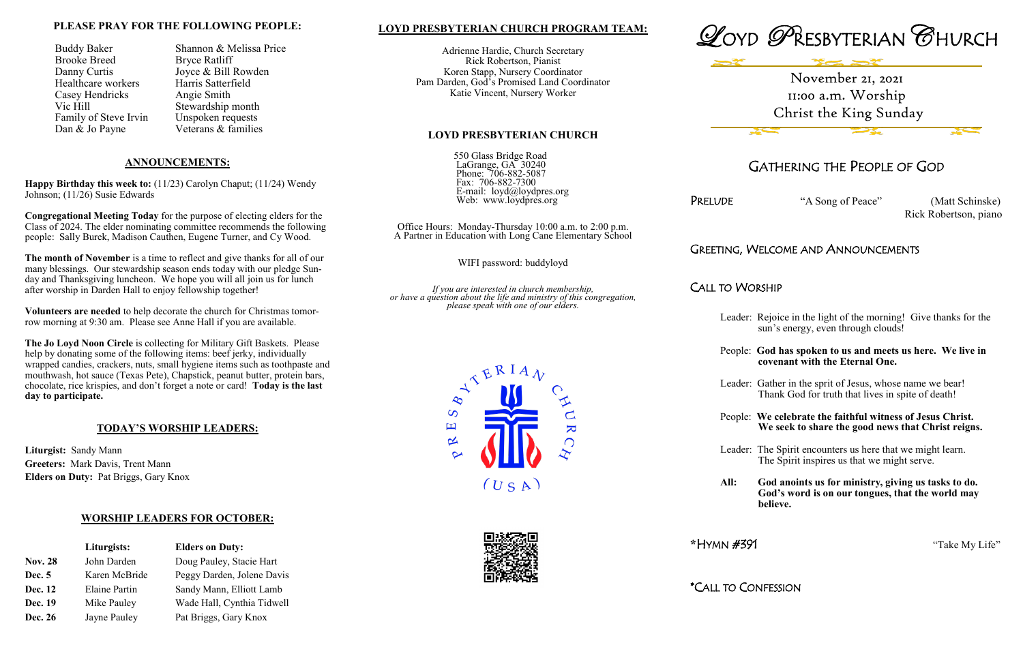## **LOYD PRESBYTERIAN CHURCH PROGRAM TEAM:**

Adrienne Hardie, Church Secretary Rick Robertson, Pianist Koren Stapp, Nursery Coordinator Pam Darden, God's Promised Land Coordinator Katie Vincent, Nursery Worker

#### **LOYD PRESBYTERIAN CHURCH**

550 Glass Bridge Road LaGrange, GA 30240 Phone: 706-882-5087 Fax: 706-882-7300 E-mail: loyd@loydpres.org Web: www.loydpres.org

PRELUDE "A Song of Peace" (Matt Schinske) Rick Robertson, piano

Office Hours: Monday-Thursday 10:00 a.m. to 2:00 p.m. A Partner in Education with Long Cane Elementary School

WIFI password: buddyloyd

*If you are interested in church membership, or have a question about the life and ministry of this congregation, please speak with one of our elders.*

 $\overline{\mathbf{K}}$ 

 $\rightarrow$ 

 $\overline{S}$ 国

 $\propto$ 

 $(USA)$ 



# GATHERING THE PEOPLE OF GOD

Buddy Baker Shannon & Melissa Price Danny Curtis Joyce & Bill Rowden<br>Healthcare workers Harris Satterfield Stewardship month

## GREETING, WELCOME AND ANNOUNCEMENTS

### CALL TO WORSHIP

- Leader: Rejoice in the light of the morning! Give thanks for the sun's energy, even through clouds!
- People: **God has spoken to us and meets us here. We live in covenant with the Eternal One.**
- Leader: Gather in the sprit of Jesus, whose name we bear! Thank God for truth that lives in spite of death!
- People: **We celebrate the faithful witness of Jesus Christ. We seek to share the good news that Christ reigns.**
- Leader: The Spirit encounters us here that we might learn. The Spirit inspires us that we might serve.
- **All: God anoints us for ministry, giving us tasks to do. God's word is on our tongues, that the world may believe.**

**\***HYMN #391 "Take My Life"

\*CALL TO CONFESSION

#### **PLEASE PRAY FOR THE FOLLOWING PEOPLE:**

Brooke Breed Bryce Ratliff Healthcare workers Casey Hendricks Angie Smith<br>Vic Hill Stewardship Family of Steve Irvin Unspoken requests Dan & Jo Payne Veterans & families

#### **ANNOUNCEMENTS:**

**Happy Birthday this week to:** (11/23) Carolyn Chaput; (11/24) Wendy Johnson; (11/26) Susie Edwards

**Congregational Meeting Today** for the purpose of electing elders for the Class of 2024. The elder nominating committee recommends the following people: Sally Burek, Madison Cauthen, Eugene Turner, and Cy Wood.

**The month of November** is a time to reflect and give thanks for all of our many blessings. Our stewardship season ends today with our pledge Sunday and Thanksgiving luncheon. We hope you will all join us for lunch after worship in Darden Hall to enjoy fellowship together!

**Volunteers are needed** to help decorate the church for Christmas tomorrow morning at 9:30 am. Please see Anne Hall if you are available.

**The Jo Loyd Noon Circle** is collecting for Military Gift Baskets. Please help by donating some of the following items: beef jerky, individually wrapped candies, crackers, nuts, small hygiene items such as toothpaste and mouthwash, hot sauce (Texas Pete), Chapstick, peanut butter, protein bars, chocolate, rice krispies, and don't forget a note or card! **Today is the last day to participate.** 

### **TODAY'S WORSHIP LEADERS:**

**Liturgist:** Sandy Mann **Greeters:** Mark Davis, Trent Mann **Elders on Duty:** Pat Briggs, Gary Knox

### **WORSHIP LEADERS FOR OCTOBER:**

|                | Liturgists:          | <b>Elders on Duty:</b>     |  |
|----------------|----------------------|----------------------------|--|
| <b>Nov. 28</b> | John Darden          | Doug Pauley, Stacie Hart   |  |
| <b>Dec.</b> 5  | Karen McBride        | Peggy Darden, Jolene Davis |  |
| Dec. 12        | <b>Elaine Partin</b> | Sandy Mann, Elliott Lamb   |  |
| Dec. 19        | Mike Pauley          | Wade Hall, Cynthia Tidwell |  |
| <b>Dec. 26</b> | Jayne Pauley         | Pat Briggs, Gary Knox      |  |

November 21, 2021 11:00 a.m. Worship Christ the King Sunday